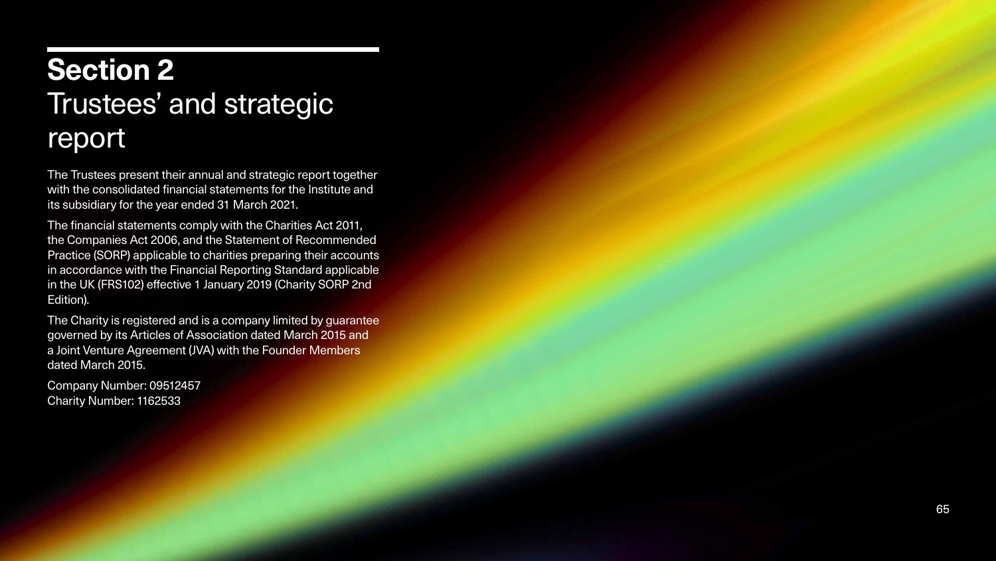

# **Section 2** Trustees' and strategic report

The Trustees present their annual and strategic report together with the consolidated financial statements for the Institute and its subsidiary for the year ended 31 March 2021.

The financial statements comply with the Charities Act 2011, the Companies Act 2006, and the Statement of Recommended Practice (SORP) applicable to charities preparing their accounts in accordance with the Financial Reporting Standard applicable in the UK (FRS102) effective 1 January 2019 (Charity SORP 2nd Edition).

The Charity is registered and is a company limited by guarantee governed by its Articles of Association dated March 2015 and a Joint Venture Agreement (JVA) with the Founder Members dated March 2015.

Company Number: 09512457 Charity Number: 1162533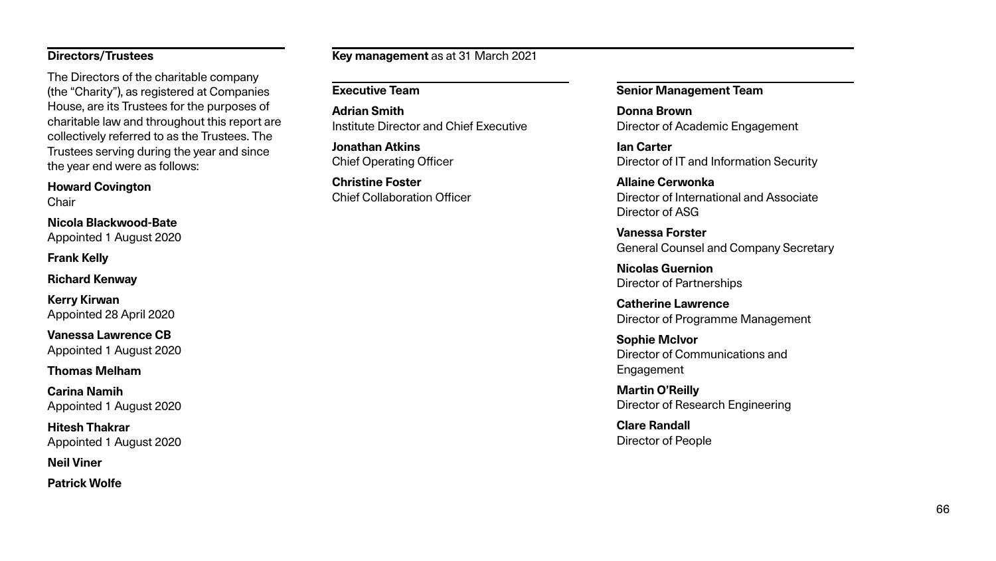#### **Directors/Trustees**

The Directors of the charitable company (the "Charity"), as registered at Companies House, are its Trustees for the purposes of charitable law and throughout this report are collectively referred to as the Trustees. The Trustees serving during the year and since the year end were as follows:

#### **Howard Covington**

**Chair** 

**Nicola Blackwood-Bate** Appointed 1 August 2020

**Frank Kelly**

**Richard Kenway**

**Kerry Kirwan** Appointed 28 April 2020

**Vanessa Lawrence CB** Appointed 1 August 2020

### **Thomas Melham**

**Carina Namih** Appointed 1 August 2020

**Hitesh Thakrar** Appointed 1 August 2020

**Neil Viner**

**Patrick Wolfe**

**Key management** as at 31 March 2021

#### **Executive Team**

**Adrian Smith** Institute Director and Chief Executive

**Jonathan Atkins** Chief Operating Officer

**Christine Foster** Chief Collaboration Officer

#### **Senior Management Team**

**Donna Brown** Director of Academic Engagement

**Ian Carter** Director of IT and Information Security

**Allaine Cerwonka** Director of International and Associate Director of ASG

**Vanessa Forster** General Counsel and Company Secretary

**Nicolas Guernion** Director of Partnerships

**Catherine Lawrence** Director of Programme Management

**Sophie McIvor** Director of Communications and Engagement

**Martin O'Reilly** Director of Research Engineering

**Clare Randall** Director of People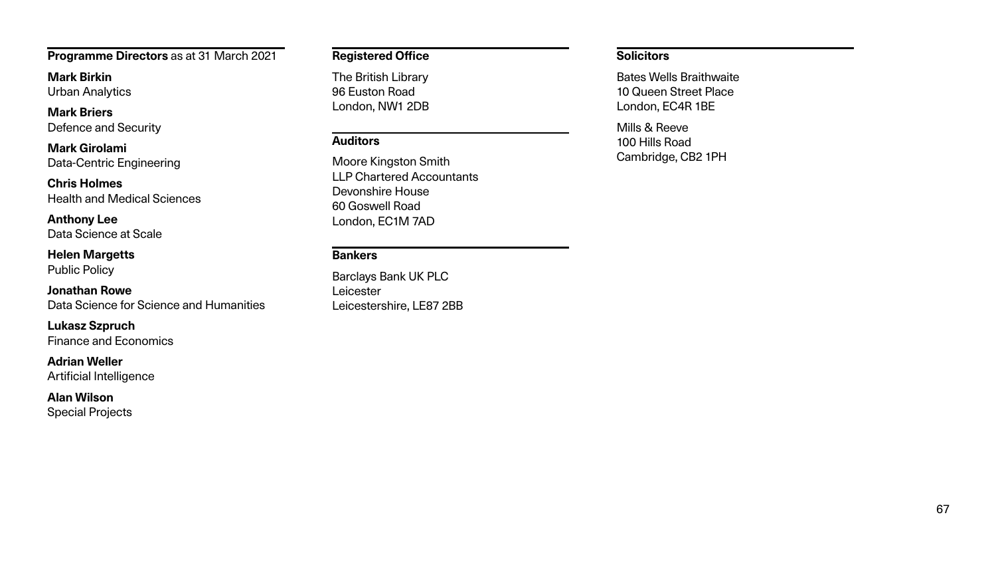**Programme Directors** as at 31 March 2021

**Mark Birkin** Urban Analytics

**Mark Briers** Defence and Security

**Mark Girolami** Data-Centric Engineering

**Chris Holmes** Health and Medical Sciences

**Anthony Lee** Data Science at Scale

**Helen Margetts** Public Policy

**Jonathan Rowe**  Data Science for Science and Humanities

**Lukasz Szpruch** Finance and Economics

**Adrian Weller** Artificial Intelligence

**Alan Wilson** Special Projects

#### **Registered Office**

The British Library 96 Euston Road London, NW1 2DB

#### **Auditors**

Moore Kingston Smith LLP Chartered Accountants Devonshire House 60 Goswell Road London, EC1M 7AD

### **Bankers**

Barclays Bank UK PLC Leicester Leicestershire, LE87 2BB

#### **Solicitors**

Bates Wells Braithwaite 10 Queen Street Place London, EC4R 1BE

Mills & Reeve 100 Hills Road Cambridge, CB2 1PH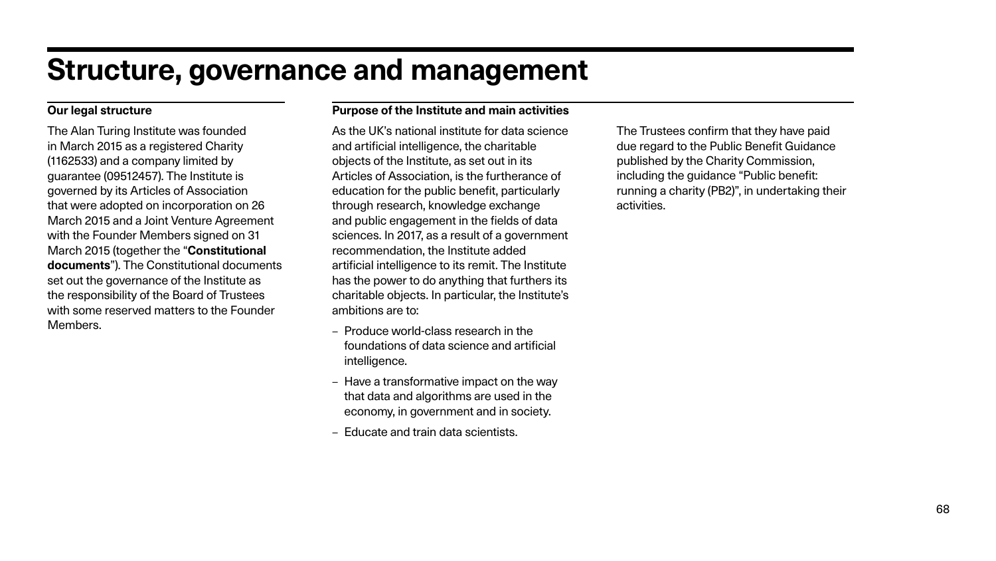# **Structure, governance and management**

#### **Purpose of the Institute and main activities**

As the UK's national institute for data science and artificial intelligence, the charitable objects of the Institute, as set out in its Articles of Association, is the furtherance of education for the public benefit, particularly through research, knowledge exchange and public engagement in the fields of data sciences. In 2017, as a result of a government recommendation, the Institute added artificial intelligence to its remit. The Institute has the power to do anything that furthers its charitable objects. In particular, the Institute's ambitions are to:

- Produce world-class research in the foundations of data science and artificial intelligence.
- Have a transformative impact on the way that data and algorithms are used in the economy, in government and in society.
- Educate and train data scientists.

The Trustees confirm that they have paid due regard to the Public Benefit Guidance published by the Charity Commission, including the guidance "Public benefit: running a charity (PB2)", in undertaking their activities.

### **Our legal structure**

The Alan Turing Institute was founded in March 2015 as a registered Charity (1162533) and a company limited by guarantee (09512457). The Institute is governed by its Articles of Association that were adopted on incorporation on 26 March 2015 and a Joint Venture Agreement with the Founder Members signed on 31 March 2015 (together the "**Constitutional documents**"). The Constitutional documents set out the governance of the Institute as the responsibility of the Board of Trustees with some reserved matters to the Founder Members.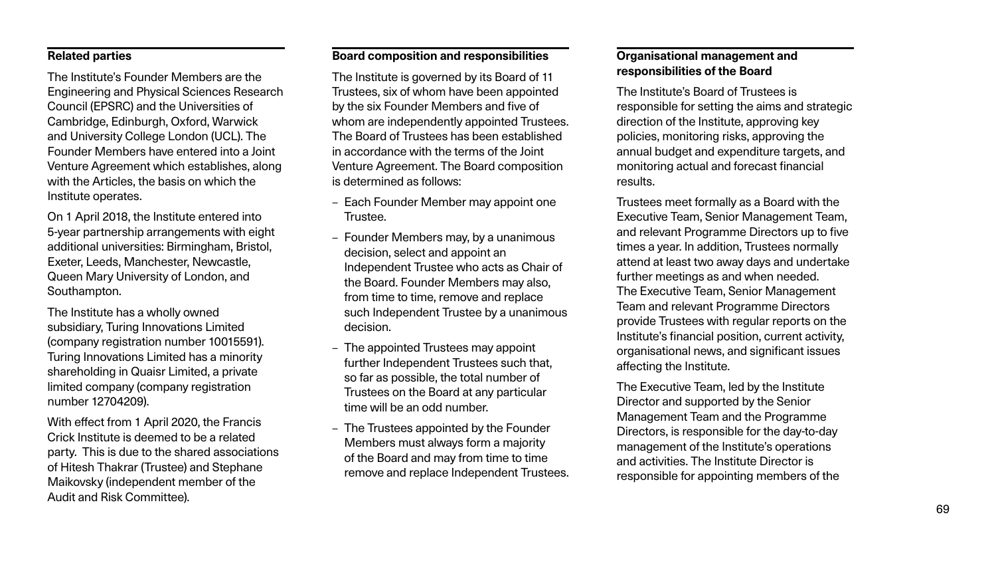#### **Related parties**

The Institute's Founder Members are the Engineering and Physical Sciences Research Council (EPSRC) and the Universities of Cambridge, Edinburgh, Oxford, Warwick and University College London (UCL). The Founder Members have entered into a Joint Venture Agreement which establishes, along with the Articles, the basis on which the Institute operates.

On 1 April 2018, the Institute entered into 5-year partnership arrangements with eight additional universities: Birmingham, Bristol, Exeter, Leeds, Manchester, Newcastle, Queen Mary University of London, and Southampton.

The Institute has a wholly owned subsidiary, Turing Innovations Limited (company registration number 10015591). Turing Innovations Limited has a minority shareholding in Quaisr Limited, a private limited company (company registration number 12704209).

With effect from 1 April 2020, the Francis Crick Institute is deemed to be a related party. This is due to the shared associations of Hitesh Thakrar (Trustee) and Stephane Maikovsky (independent member of the Audit and Risk Committee).

#### **Board composition and responsibilities**

The Institute is governed by its Board of 11 Trustees, six of whom have been appointed by the six Founder Members and five of whom are independently appointed Trustees. The Board of Trustees has been established in accordance with the terms of the Joint Venture Agreement. The Board composition is determined as follows:

- Each Founder Member may appoint one Trustee.
- Founder Members may, by a unanimous decision, select and appoint an Independent Trustee who acts as Chair of the Board. Founder Members may also, from time to time, remove and replace such Independent Trustee by a unanimous decision.
- The appointed Trustees may appoint further Independent Trustees such that, so far as possible, the total number of Trustees on the Board at any particular time will be an odd number.
- The Trustees appointed by the Founder Members must always form a majority of the Board and may from time to time remove and replace Independent Trustees.

#### **Organisational management and responsibilities of the Board**

The Institute's Board of Trustees is responsible for setting the aims and strategic direction of the Institute, approving key policies, monitoring risks, approving the annual budget and expenditure targets, and monitoring actual and forecast financial results.

Trustees meet formally as a Board with the Executive Team, Senior Management Team, and relevant Programme Directors up to five times a year. In addition, Trustees normally attend at least two away days and undertake further meetings as and when needed. The Executive Team, Senior Management Team and relevant Programme Directors provide Trustees with regular reports on the Institute's financial position, current activity, organisational news, and significant issues affecting the Institute.

The Executive Team, led by the Institute Director and supported by the Senior Management Team and the Programme Directors, is responsible for the day-to-day management of the Institute's operations and activities. The Institute Director is responsible for appointing members of the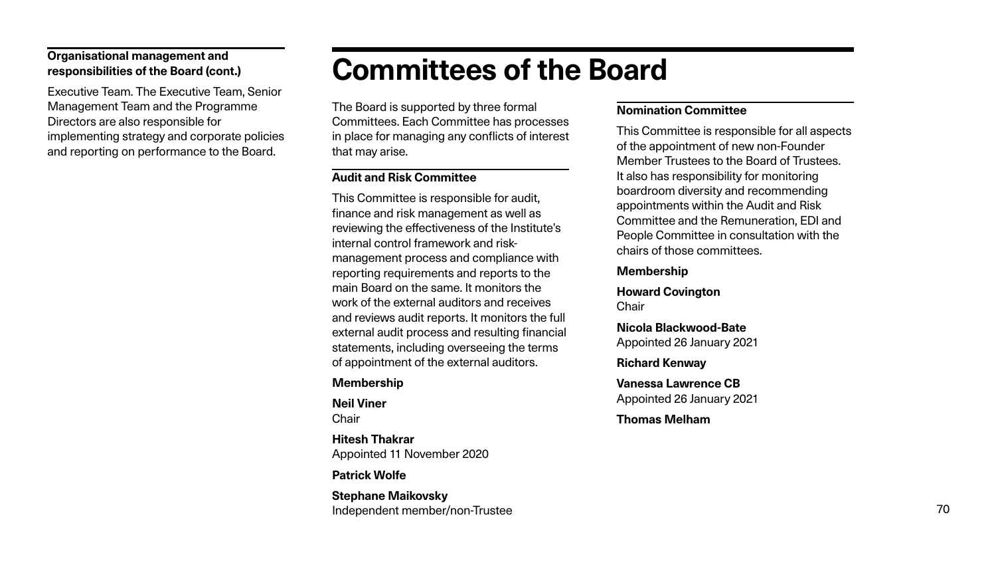### **Organisational management and responsibilities of the Board (cont.)**

Executive Team. The Executive Team, Senior Management Team and the Programme Directors are also responsible for implementing strategy and corporate policies and reporting on performance to the Board.

# **Committees of the Board**

The Board is supported by three formal Committees. Each Committee has processes in place for managing any conflicts of interest that may arise.

#### **Audit and Risk Committee**

**Neil Viner Chair** 

This Committee is responsible for audit, finance and risk management as well as reviewing the effectiveness of the Institute's internal control framework and riskmanagement process and compliance with reporting requirements and reports to the main Board on the same. It monitors the work of the external auditors and receives and reviews audit reports. It monitors the full external audit process and resulting financial statements, including overseeing the terms of appointment of the external auditors.

**Howard Covington Chair** 

# **Membership**

**Hitesh Thakrar** Appointed 11 November 2020

## **Patrick Wolfe**

**Stephane Maikovsky** Independent member/non-Trustee

# **Nomination Committee**

This Committee is responsible for all aspects of the appointment of new non-Founder Member Trustees to the Board of Trustees. It also has responsibility for monitoring boardroom diversity and recommending appointments within the Audit and Risk Committee and the Remuneration, EDI and People Committee in consultation with the chairs of those committees.

## **Membership**

**Nicola Blackwood-Bate** Appointed 26 January 2021

### **Richard Kenway**

**Vanessa Lawrence CB** Appointed 26 January 2021

# **Thomas Melham**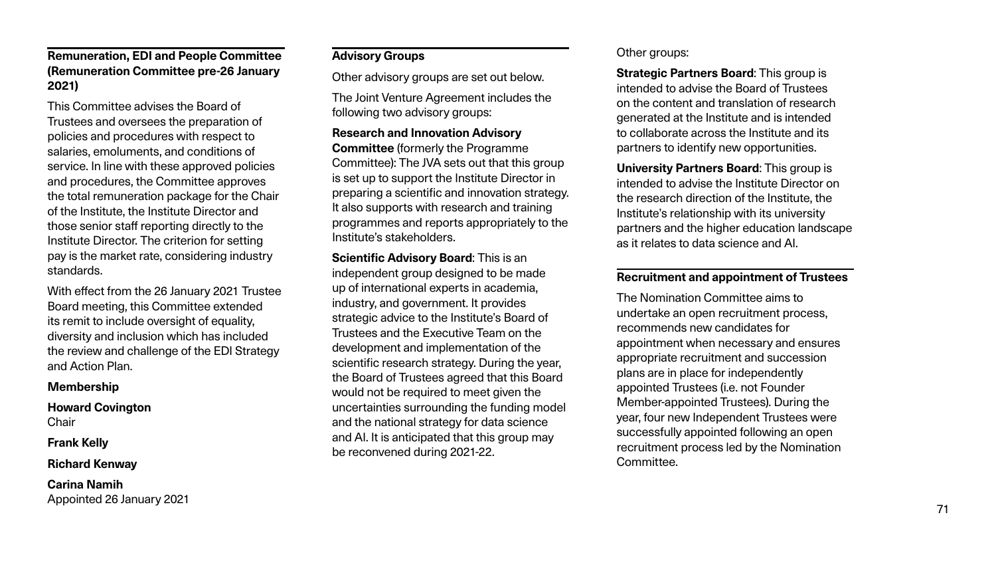### **Remuneration, EDI and People Committee (Remuneration Committee pre-26 January 2021)**

This Committee advises the Board of Trustees and oversees the preparation of policies and procedures with respect to salaries, emoluments, and conditions of service. In line with these approved policies and procedures, the Committee approves the total remuneration package for the Chair of the Institute, the Institute Director and those senior staff reporting directly to the Institute Director. The criterion for setting pay is the market rate, considering industry standards.

**Howard Covington Chair** 

With effect from the 26 January 2021 Trustee Board meeting, this Committee extended its remit to include oversight of equality, diversity and inclusion which has included the review and challenge of the EDI Strategy and Action Plan.

#### **Membership**

**Frank Kelly**

**Richard Kenway**

**Carina Namih** Appointed 26 January 2021

### **Advisory Groups**

Other advisory groups are set out below.

The Joint Venture Agreement includes the following two advisory groups:

#### **Research and Innovation Advisory**

**Strategic Partners Board: This group is** intended to advise the Board of Trustees on the content and translation of research generated at the Institute and is intended to collaborate across the Institute and its partners to identify new opportunities.

**Committee** (formerly the Programme Committee): The JVA sets out that this group is set up to support the Institute Director in preparing a scientific and innovation strategy. It also supports with research and training programmes and reports appropriately to the Institute's stakeholders.

**Scientific Advisory Board**: This is an independent group designed to be made up of international experts in academia, industry, and government. It provides strategic advice to the Institute's Board of Trustees and the Executive Team on the development and implementation of the scientific research strategy. During the year, the Board of Trustees agreed that this Board would not be required to meet given the uncertainties surrounding the funding model and the national strategy for data science and AI. It is anticipated that this group may be reconvened during 2021-22.

### Other groups:

**University Partners Board**: This group is intended to advise the Institute Director on the research direction of the Institute, the Institute's relationship with its university partners and the higher education landscape as it relates to data science and AI.

#### **Recruitment and appointment of Trustees**

The Nomination Committee aims to undertake an open recruitment process, recommends new candidates for appointment when necessary and ensures appropriate recruitment and succession plans are in place for independently appointed Trustees (i.e. not Founder Member-appointed Trustees). During the year, four new Independent Trustees were successfully appointed following an open recruitment process led by the Nomination Committee.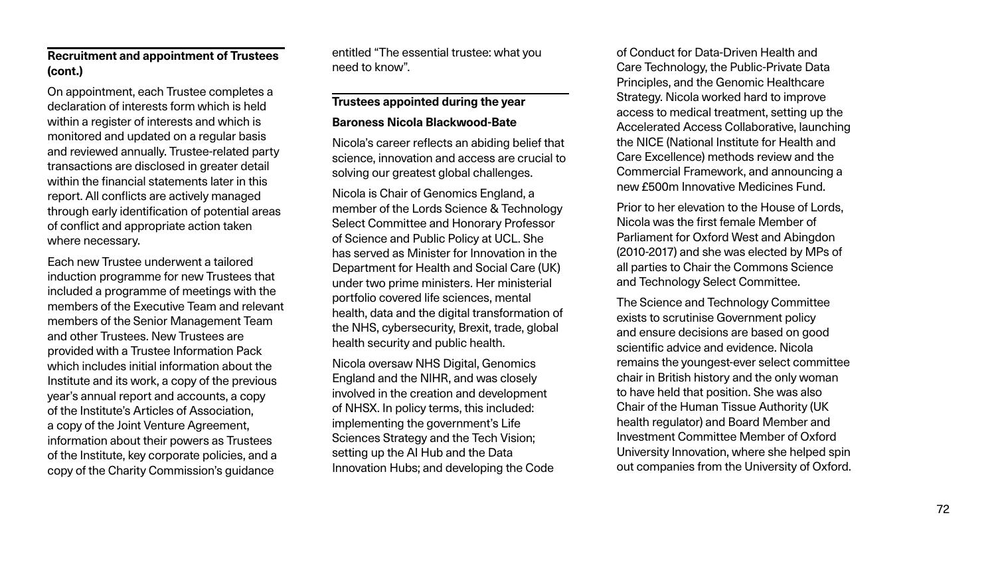## **Recruitment and appointment of Trustees (cont.)**

On appointment, each Trustee completes a declaration of interests form which is held within a register of interests and which is monitored and updated on a regular basis and reviewed annually. Trustee-related party transactions are disclosed in greater detail within the financial statements later in this report. All conflicts are actively managed through early identification of potential areas of conflict and appropriate action taken where necessary.

Each new Trustee underwent a tailored induction programme for new Trustees that included a programme of meetings with the members of the Executive Team and relevant members of the Senior Management Team and other Trustees. New Trustees are provided with a Trustee Information Pack which includes initial information about the Institute and its work, a copy of the previous year's annual report and accounts, a copy of the Institute's Articles of Association, a copy of the Joint Venture Agreement, information about their powers as Trustees of the Institute, key corporate policies, and a copy of the Charity Commission's guidance

entitled "The essential trustee: what you need to know".

#### **Trustees appointed during the year**

#### **Baroness Nicola Blackwood-Bate**

Nicola's career reflects an abiding belief that science, innovation and access are crucial to solving our greatest global challenges.

Nicola is Chair of Genomics England, a member of the Lords Science & Technology Select Committee and Honorary Professor of Science and Public Policy at UCL. She has served as Minister for Innovation in the Department for Health and Social Care (UK) under two prime ministers. Her ministerial portfolio covered life sciences, mental health, data and the digital transformation of the NHS, cybersecurity, Brexit, trade, global health security and public health.

Nicola oversaw NHS Digital, Genomics England and the NIHR, and was closely involved in the creation and development of NHSX. In policy terms, this included: implementing the government's Life Sciences Strategy and the Tech Vision; setting up the AI Hub and the Data Innovation Hubs; and developing the Code

of Conduct for Data-Driven Health and Care Technology, the Public-Private Data Principles, and the Genomic Healthcare Strategy. Nicola worked hard to improve access to medical treatment, setting up the Accelerated Access Collaborative, launching the NICE (National Institute for Health and Care Excellence) methods review and the Commercial Framework, and announcing a new £500m Innovative Medicines Fund.

Prior to her elevation to the House of Lords, Nicola was the first female Member of Parliament for Oxford West and Abingdon (2010-2017) and she was elected by MPs of all parties to Chair the Commons Science and Technology Select Committee.

The Science and Technology Committee exists to scrutinise Government policy and ensure decisions are based on good scientific advice and evidence. Nicola remains the youngest-ever select committee chair in British history and the only woman to have held that position. She was also Chair of the Human Tissue Authority (UK health regulator) and Board Member and Investment Committee Member of Oxford University Innovation, where she helped spin out companies from the University of Oxford.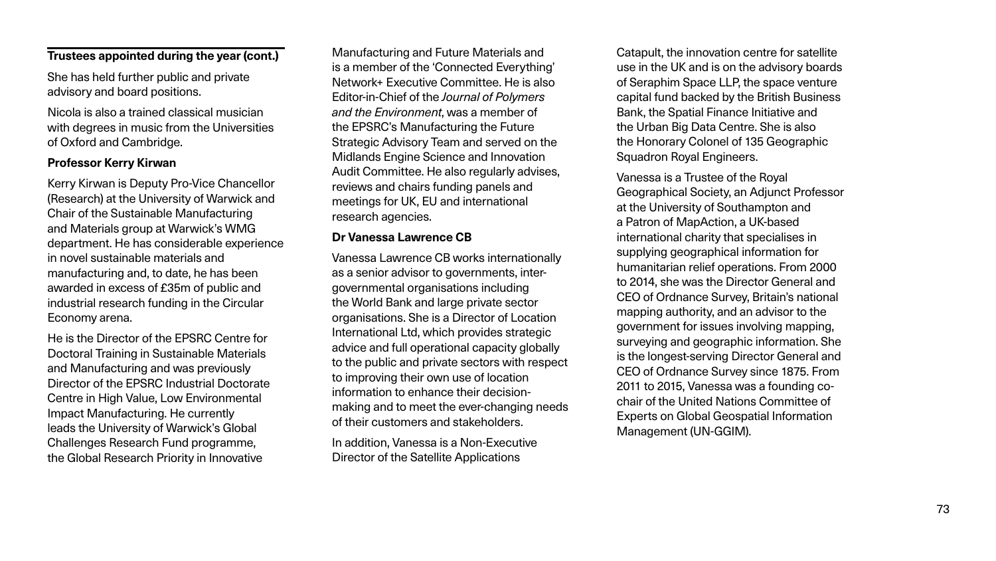### **Trustees appointed during the year (cont.)**

She has held further public and private advisory and board positions.

Nicola is also a trained classical musician with degrees in music from the Universities of Oxford and Cambridge.

## **Professor Kerry Kirwan**

Kerry Kirwan is Deputy Pro-Vice Chancellor (Research) at the University of Warwick and Chair of the Sustainable Manufacturing and Materials group at Warwick's WMG department. He has considerable experience in novel sustainable materials and manufacturing and, to date, he has been awarded in excess of £35m of public and industrial research funding in the Circular Economy arena.

He is the Director of the EPSRC Centre for Doctoral Training in Sustainable Materials and Manufacturing and was previously Director of the EPSRC Industrial Doctorate Centre in High Value, Low Environmental Impact Manufacturing. He currently leads the University of Warwick's Global Challenges Research Fund programme, the Global Research Priority in Innovative

Manufacturing and Future Materials and is a member of the 'Connected Everything' Network+ Executive Committee. He is also Editor-in-Chief of the *Journal of Polymers and the Environment*, was a member of the EPSRC's Manufacturing the Future Strategic Advisory Team and served on the Midlands Engine Science and Innovation Audit Committee. He also regularly advises, reviews and chairs funding panels and meetings for UK, EU and international research agencies.

### **Dr Vanessa Lawrence CB**

Vanessa Lawrence CB works internationally as a senior advisor to governments, intergovernmental organisations including the World Bank and large private sector organisations. She is a Director of Location International Ltd, which provides strategic advice and full operational capacity globally to the public and private sectors with respect to improving their own use of location information to enhance their decisionmaking and to meet the ever-changing needs of their customers and stakeholders.

In addition, Vanessa is a Non-Executive Director of the Satellite Applications

Catapult, the innovation centre for satellite use in the UK and is on the advisory boards of Seraphim Space LLP, the space venture capital fund backed by the British Business Bank, the Spatial Finance Initiative and the Urban Big Data Centre. She is also the Honorary Colonel of 135 Geographic Squadron Royal Engineers.

Vanessa is a Trustee of the Royal Geographical Society, an Adjunct Professor at the University of Southampton and a Patron of MapAction, a UK-based international charity that specialises in supplying geographical information for humanitarian relief operations. From 2000 to 2014, she was the Director General and CEO of Ordnance Survey, Britain's national mapping authority, and an advisor to the government for issues involving mapping, surveying and geographic information. She is the longest-serving Director General and CEO of Ordnance Survey since 1875. From 2011 to 2015, Vanessa was a founding cochair of the United Nations Committee of Experts on Global Geospatial Information Management (UN-GGIM).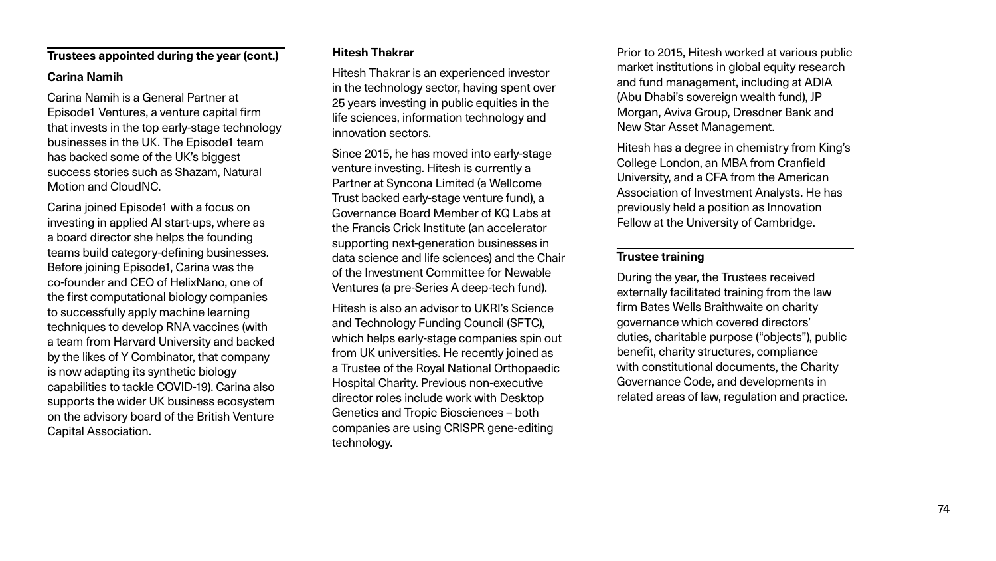#### **Trustees appointed during the year (cont.)**

### **Carina Namih**

Carina Namih is a General Partner at Episode1 Ventures, a venture capital firm that invests in the top early-stage technology businesses in the UK. The Episode1 team has backed some of the UK's biggest success stories such as Shazam, Natural Motion and CloudNC.

Carina joined Episode1 with a focus on investing in applied AI start-ups, where as a board director she helps the founding teams build category-defining businesses. Before joining Episode1, Carina was the co-founder and CEO of HelixNano, one of the first computational biology companies to successfully apply machine learning techniques to develop RNA vaccines (with a team from Harvard University and backed by the likes of Y Combinator, that company is now adapting its synthetic biology capabilities to tackle COVID-19). Carina also supports the wider UK business ecosystem on the advisory board of the British Venture Capital Association.

### **Hitesh Thakrar**

Hitesh Thakrar is an experienced investor in the technology sector, having spent over 25 years investing in public equities in the life sciences, information technology and innovation sectors.

Since 2015, he has moved into early-stage venture investing. Hitesh is currently a Partner at Syncona Limited (a Wellcome Trust backed early-stage venture fund), a Governance Board Member of KQ Labs at the Francis Crick Institute (an accelerator supporting next-generation businesses in data science and life sciences) and the Chair of the Investment Committee for Newable Ventures (a pre-Series A deep-tech fund).

Hitesh is also an advisor to UKRI's Science and Technology Funding Council (SFTC), which helps early-stage companies spin out from UK universities. He recently joined as a Trustee of the Royal National Orthopaedic Hospital Charity. Previous non-executive director roles include work with Desktop Genetics and Tropic Biosciences – both companies are using CRISPR gene-editing technology.

Prior to 2015, Hitesh worked at various public market institutions in global equity research and fund management, including at ADIA (Abu Dhabi's sovereign wealth fund), JP Morgan, Aviva Group, Dresdner Bank and New Star Asset Management.

Hitesh has a degree in chemistry from King's College London, an MBA from Cranfield University, and a CFA from the American Association of Investment Analysts. He has previously held a position as Innovation Fellow at the University of Cambridge.

### **Trustee training**

During the year, the Trustees received externally facilitated training from the law firm Bates Wells Braithwaite on charity governance which covered directors' duties, charitable purpose ("objects"), public benefit, charity structures, compliance with constitutional documents, the Charity Governance Code, and developments in related areas of law, regulation and practice.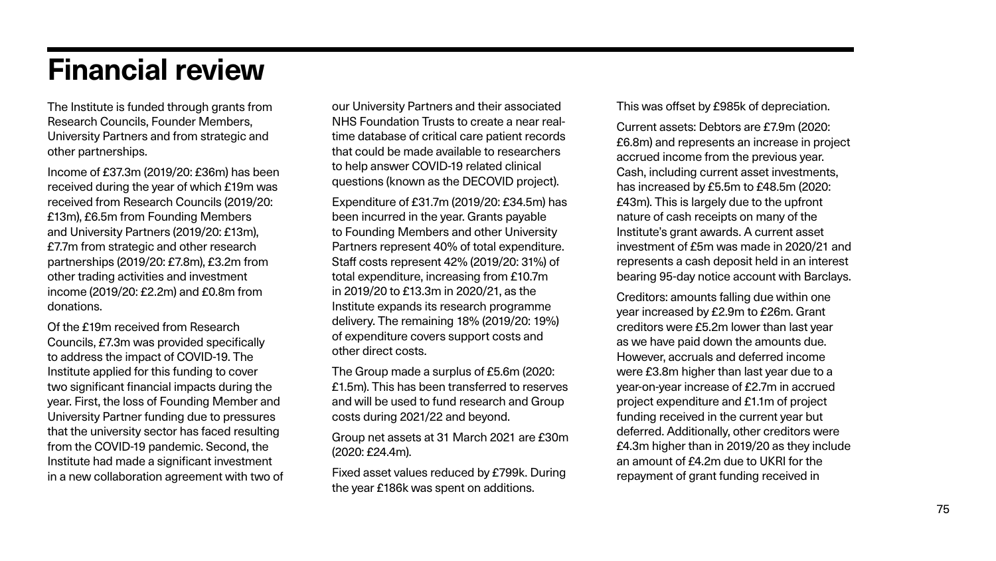# **Financial review**

The Institute is funded through grants from Research Councils, Founder Members, University Partners and from strategic and other partnerships.

Income of £37.3m (2019/20: £36m) has been received during the year of which £19m was received from Research Councils (2019/20: £13m), £6.5m from Founding Members and University Partners (2019/20: £13m), £7.7m from strategic and other research partnerships (2019/20: £7.8m), £3.2m from other trading activities and investment income (2019/20: £2.2m) and £0.8m from donations.

Of the £19m received from Research Councils, £7.3m was provided specifically to address the impact of COVID-19. The Institute applied for this funding to cover two significant financial impacts during the year. First, the loss of Founding Member and University Partner funding due to pressures that the university sector has faced resulting from the COVID-19 pandemic. Second, the Institute had made a significant investment in a new collaboration agreement with two of our University Partners and their associated NHS Foundation Trusts to create a near realtime database of critical care patient records that could be made available to researchers to help answer COVID-19 related clinical questions (known as the DECOVID project).

Expenditure of £31.7m (2019/20: £34.5m) has been incurred in the year. Grants payable to Founding Members and other University Partners represent 40% of total expenditure. Staff costs represent 42% (2019/20: 31%) of total expenditure, increasing from £10.7m in 2019/20 to £13.3m in 2020/21, as the Institute expands its research programme delivery. The remaining 18% (2019/20: 19%) of expenditure covers support costs and other direct costs.

The Group made a surplus of £5.6m (2020: £1.5m). This has been transferred to reserves and will be used to fund research and Group costs during 2021/22 and beyond.

Group net assets at 31 March 2021 are £30m (2020: £24.4m).

Fixed asset values reduced by £799k. During the year £186k was spent on additions.

This was offset by £985k of depreciation.

Current assets: Debtors are £7.9m (2020: £6.8m) and represents an increase in project accrued income from the previous year. Cash, including current asset investments, has increased by £5.5m to £48.5m (2020: £43m). This is largely due to the upfront nature of cash receipts on many of the Institute's grant awards. A current asset investment of £5m was made in 2020/21 and represents a cash deposit held in an interest bearing 95-day notice account with Barclays.

Creditors: amounts falling due within one year increased by £2.9m to £26m. Grant creditors were £5.2m lower than last year as we have paid down the amounts due. However, accruals and deferred income were £3.8m higher than last year due to a year-on-year increase of £2.7m in accrued project expenditure and £1.1m of project funding received in the current year but deferred. Additionally, other creditors were £4.3m higher than in 2019/20 as they include an amount of £4.2m due to UKRI for the repayment of grant funding received in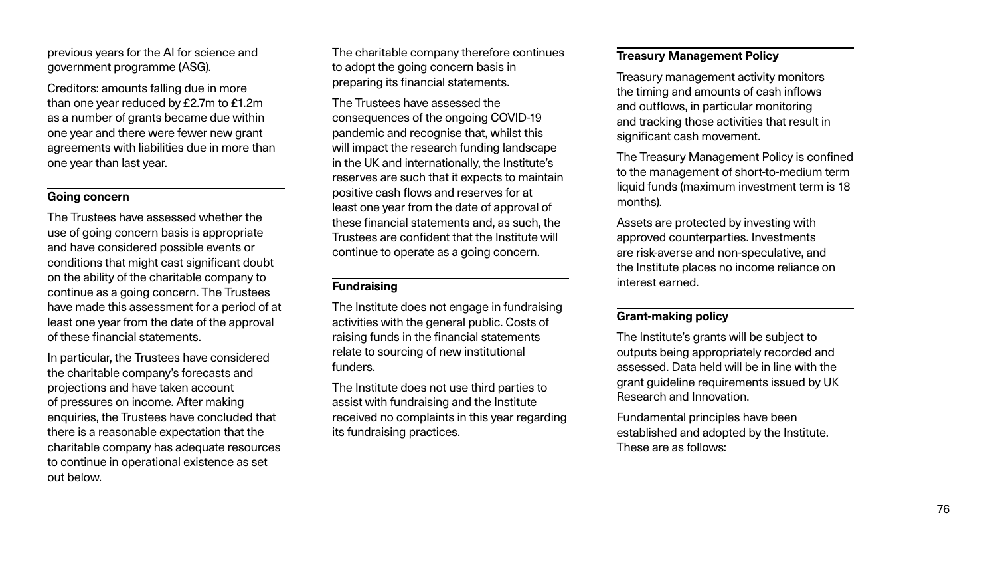previous years for the AI for science and government programme (ASG).

Creditors: amounts falling due in more than one year reduced by £2.7m to £1.2m as a number of grants became due within one year and there were fewer new grant agreements with liabilities due in more than one year than last year.

#### **Going concern**

The Trustees have assessed whether the use of going concern basis is appropriate and have considered possible events or conditions that might cast significant doubt on the ability of the charitable company to continue as a going concern. The Trustees have made this assessment for a period of at least one year from the date of the approval of these financial statements.

In particular, the Trustees have considered the charitable company's forecasts and projections and have taken account of pressures on income. After making enquiries, the Trustees have concluded that there is a reasonable expectation that the charitable company has adequate resources to continue in operational existence as set out below.

The charitable company therefore continues to adopt the going concern basis in preparing its financial statements.

The Trustees have assessed the consequences of the ongoing COVID-19 pandemic and recognise that, whilst this will impact the research funding landscape in the UK and internationally, the Institute's reserves are such that it expects to maintain positive cash flows and reserves for at least one year from the date of approval of these financial statements and, as such, the Trustees are confident that the Institute will continue to operate as a going concern.

## **Fundraising**

The Institute does not engage in fundraising activities with the general public. Costs of raising funds in the financial statements relate to sourcing of new institutional funders.

The Institute does not use third parties to assist with fundraising and the Institute received no complaints in this year regarding its fundraising practices.

### **Treasury Management Policy**

Treasury management activity monitors the timing and amounts of cash inflows and outflows, in particular monitoring and tracking those activities that result in significant cash movement.

The Treasury Management Policy is confined to the management of short-to-medium term liquid funds (maximum investment term is 18 months).

Assets are protected by investing with approved counterparties. Investments are risk-averse and non-speculative, and the Institute places no income reliance on interest earned.

### **Grant-making policy**

The Institute's grants will be subject to outputs being appropriately recorded and assessed. Data held will be in line with the grant guideline requirements issued by UK Research and Innovation.

Fundamental principles have been established and adopted by the Institute. These are as follows: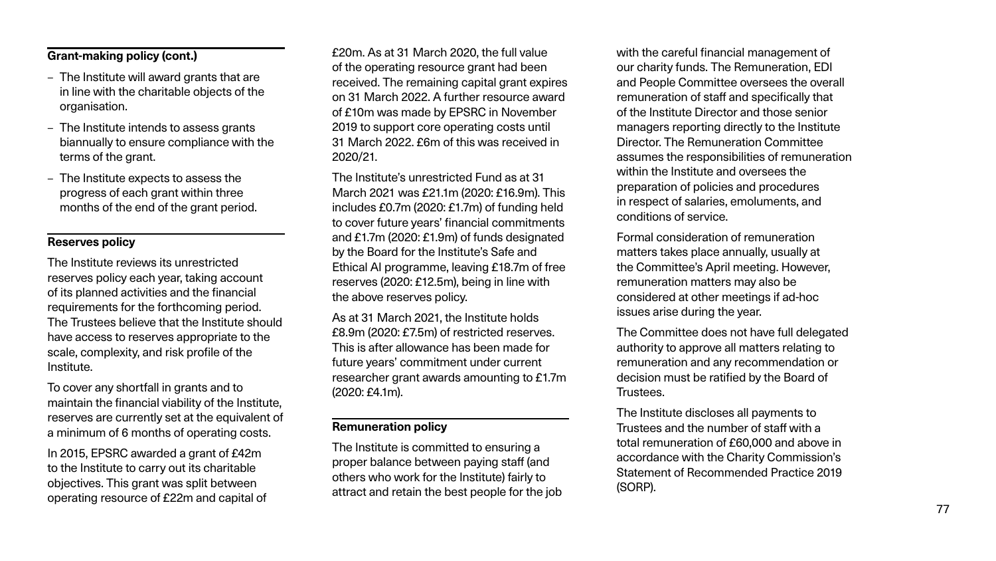## **Grant-making policy (cont.)**

- The Institute will award grants that are in line with the charitable objects of the organisation.
- The Institute intends to assess grants biannually to ensure compliance with the terms of the grant.
- The Institute expects to assess the progress of each grant within three months of the end of the grant period.

## **Reserves policy**

The Institute reviews its unrestricted reserves policy each year, taking account of its planned activities and the financial requirements for the forthcoming period. The Trustees believe that the Institute should have access to reserves appropriate to the scale, complexity, and risk profile of the Institute.

To cover any shortfall in grants and to maintain the financial viability of the Institute, reserves are currently set at the equivalent of a minimum of 6 months of operating costs.

In 2015, EPSRC awarded a grant of £42m to the Institute to carry out its charitable objectives. This grant was split between operating resource of £22m and capital of £20m. As at 31 March 2020, the full value of the operating resource grant had been received. The remaining capital grant expires on 31 March 2022. A further resource award of £10m was made by EPSRC in November 2019 to support core operating costs until 31 March 2022. £6m of this was received in 2020/21.

The Institute's unrestricted Fund as at 31 March 2021 was £21.1m (2020: £16.9m). This includes £0.7m (2020: £1.7m) of funding held to cover future years' financial commitments and £1.7m (2020: £1.9m) of funds designated by the Board for the Institute's Safe and Ethical AI programme, leaving £18.7m of free reserves (2020: £12.5m), being in line with the above reserves policy.

As at 31 March 2021, the Institute holds £8.9m (2020: £7.5m) of restricted reserves. This is after allowance has been made for future years' commitment under current researcher grant awards amounting to £1.7m (2020: £4.1m).

### **Remuneration policy**

The Institute is committed to ensuring a proper balance between paying staff (and others who work for the Institute) fairly to attract and retain the best people for the job with the careful financial management of our charity funds. The Remuneration, EDI and People Committee oversees the overall remuneration of staff and specifically that of the Institute Director and those senior managers reporting directly to the Institute Director. The Remuneration Committee assumes the responsibilities of remuneration within the Institute and oversees the preparation of policies and procedures in respect of salaries, emoluments, and conditions of service.

Formal consideration of remuneration matters takes place annually, usually at the Committee's April meeting. However, remuneration matters may also be considered at other meetings if ad-hoc issues arise during the year.

The Committee does not have full delegated authority to approve all matters relating to remuneration and any recommendation or decision must be ratified by the Board of Trustees.

The Institute discloses all payments to Trustees and the number of staff with a total remuneration of £60,000 and above in accordance with the Charity Commission's Statement of Recommended Practice 2019 (SORP).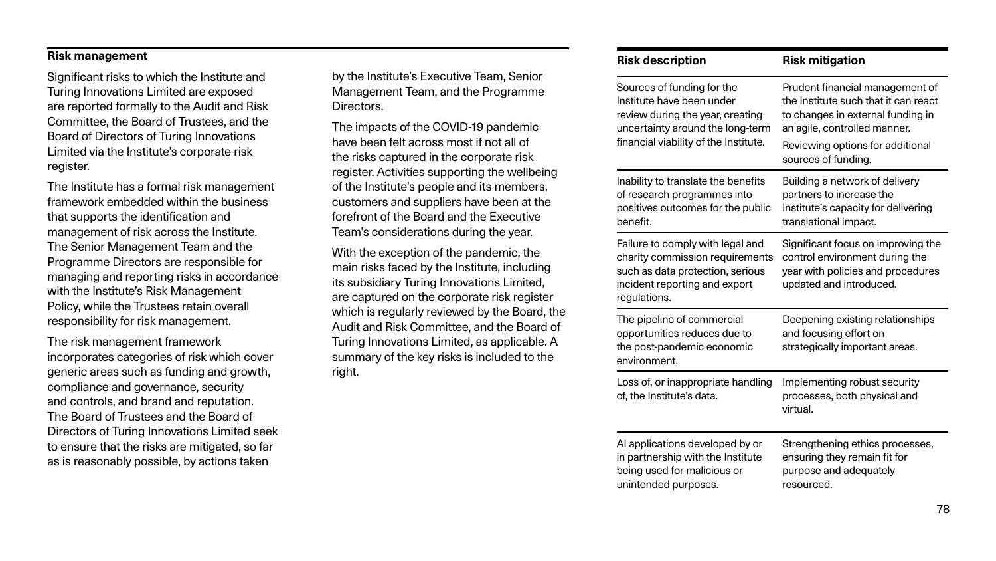#### **Risk management**

Significant risks to which the Institute and Turing Innovations Limited are exposed are reported formally to the Audit and Risk Committee, the Board of Trustees, and the Board of Directors of Turing Innovations Limited via the Institute's corporate risk register.

The Institute has a formal risk management framework embedded within the business that supports the identification and management of risk across the Institute. The Senior Management Team and the Programme Directors are responsible for managing and reporting risks in accordance with the Institute's Risk Management Policy, while the Trustees retain overall responsibility for risk management.

The risk management framework incorporates categories of risk which cover generic areas such as funding and growth, compliance and governance, security and controls, and brand and reputation. The Board of Trustees and the Board of Directors of Turing Innovations Limited seek to ensure that the risks are mitigated, so far as is reasonably possible, by actions taken

by the Institute's Executive Team, Senior Management Team, and the Programme Directors.

The impacts of the COVID-19 pandemic have been felt across most if not all of the risks captured in the corporate risk register. Activities supporting the wellbeing of the Institute's people and its members, customers and suppliers have been at the forefront of the Board and the Executive Team's considerations during the year.

With the exception of the pandemic, the main risks faced by the Institute, including its subsidiary Turing Innovations Limited, are captured on the corporate risk register which is regularly reviewed by the Board, the Audit and Risk Committee, and the Board of Turing Innovations Limited, as applicable. A summary of the key risks is included to the right.

| <b>Risk description</b>                                                                                                                                                  | <b>Risk mitigation</b>                                                                                                                                                                                  |
|--------------------------------------------------------------------------------------------------------------------------------------------------------------------------|---------------------------------------------------------------------------------------------------------------------------------------------------------------------------------------------------------|
| Sources of funding for the<br>Institute have been under<br>review during the year, creating<br>uncertainty around the long-term<br>financial viability of the Institute. | Prudent financial management of<br>the Institute such that it can react<br>to changes in external funding in<br>an agile, controlled manner.<br>Reviewing options for additional<br>sources of funding. |
| Inability to translate the benefits<br>of research programmes into<br>positives outcomes for the public<br>benefit.                                                      | Building a network of delivery<br>partners to increase the<br>Institute's capacity for delivering<br>translational impact.                                                                              |
| Failure to comply with legal and<br>charity commission requirements<br>such as data protection, serious<br>incident reporting and export<br>regulations.                 | Significant focus on improving the<br>control environment during the<br>year with policies and procedures<br>updated and introduced.                                                                    |
| The pipeline of commercial<br>opportunities reduces due to<br>the post-pandemic economic<br>environment.                                                                 | Deepening existing relationships<br>and focusing effort on<br>strategically important areas.                                                                                                            |
| Loss of, or inappropriate handling<br>of, the Institute's data.                                                                                                          | Implementing robust security<br>processes, both physical and<br>virtual.                                                                                                                                |
| Al applications developed by or<br>in partnership with the Institute<br>being used for malicious or<br>unintended purposes.                                              | Strengthening ethics processes,<br>ensuring they remain fit for<br>purpose and adequately<br>resourced.                                                                                                 |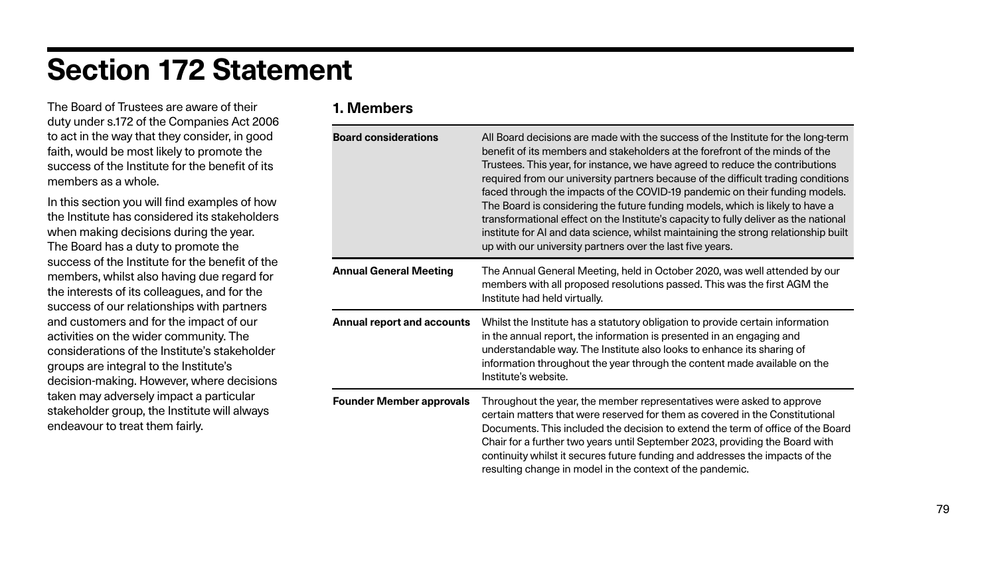# **Section 172 Statement**

The Board of Trustees are aware of their duty under s.172 of the Companies Act 2006 to act in the way that they consider, in good faith, would be most likely to promote the success of the Institute for the benefit of its members as a whole.

**Board considerations** All Board decisions are made with the success of the Institute for the long-term I stakeholders at the forefront of the minds of the tance, we have agreed to reduce the contributions ty partners because of the difficult trading conditions of the COVID-19 pandemic on their funding models. the future funding models, which is likely to have a the Institute's capacity to fully deliver as the national ience, whilst maintaining the strong relationship built thers over the last five years.

ing, held in October 2020, was well attended by our d resolutions passed. This was the first AGM the

**Anal report and actor is the Institutory obligation in** *Insulation* information iformation is presented in an engaging and Institute also looks to enhance its sharing of e year through the content made available on the

member representatives were asked to approve reserved for them as covered in the Constitutional the decision to extend the term of office of the Board rs until September 2023, providing the Board with future funding and addresses the impacts of the in the context of the pandemic.

In this section you will find examples of how the Institute has considered its stakeholders when making decisions during the year. The Board has a duty to promote the success of the Institute for the benefit of the members, whilst also having due regard for the interests of its colleagues, and for the success of our relationships with partners and customers and for the impact of our activities on the wider community. The considerations of the Institute's stakeholder groups are integral to the Institute's decision-making. However, where decisions taken may adversely impact a particular stakeholder group, the Institute will always endeavour to treat them fairly.

# **1. Members**

| <b>Board considerations</b>       | All Board decisions are ma<br>benefit of its members and<br>Trustees. This year, for inst<br>required from our universit<br>faced through the impacts<br>The Board is considering tl<br>transformational effect on<br>institute for AI and data sci<br>up with our university partr |
|-----------------------------------|-------------------------------------------------------------------------------------------------------------------------------------------------------------------------------------------------------------------------------------------------------------------------------------|
| <b>Annual General Meeting</b>     | <b>The Annual General Meeti</b><br>members with all proposed<br>Institute had held virtually.                                                                                                                                                                                       |
| <b>Annual report and accounts</b> | Whilst the Institute has a st<br>in the annual report, the inf<br>understandable way. The li<br>information throughout the<br>Institute's website.                                                                                                                                  |
| <b>Founder Member approvals</b>   | Throughout the year, the m<br>certain matters that were r<br>Documents. This included<br>Chair for a further two year<br>continuity whilst it secures<br>resulting change in model                                                                                                  |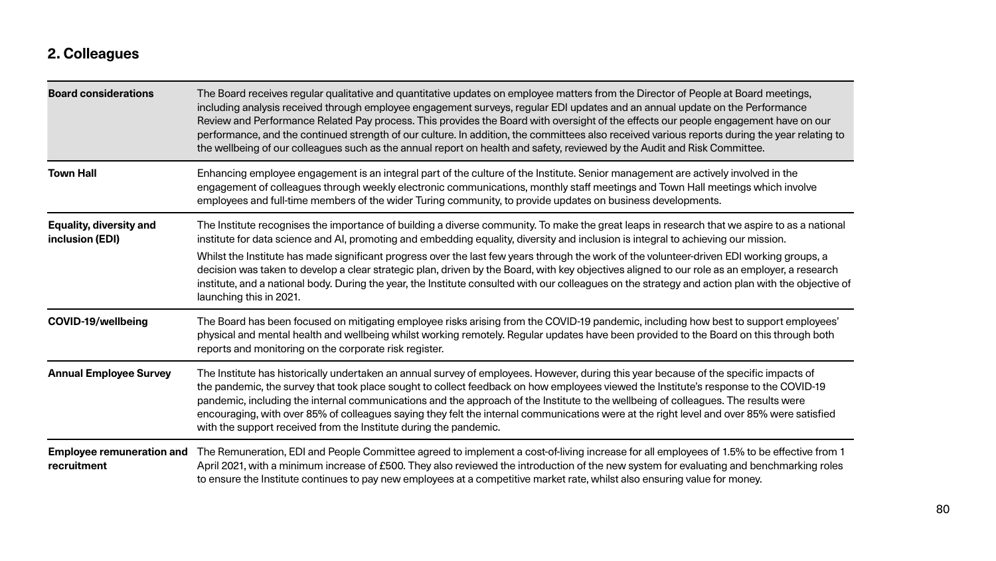# **2. Colleagues**

| <b>Board considerations</b>                       | The Board receives regular qualitative and quantitative updates on employee matters fror<br>including analysis received through employee engagement surveys, regular EDI updates<br>Review and Performance Related Pay process. This provides the Board with oversight of<br>performance, and the continued strength of our culture. In addition, the committees also<br>the wellbeing of our colleagues such as the annual report on health and safety, reviewed                                                   |
|---------------------------------------------------|---------------------------------------------------------------------------------------------------------------------------------------------------------------------------------------------------------------------------------------------------------------------------------------------------------------------------------------------------------------------------------------------------------------------------------------------------------------------------------------------------------------------|
| <b>Town Hall</b>                                  | Enhancing employee engagement is an integral part of the culture of the Institute. Senior<br>engagement of colleagues through weekly electronic communications, monthly staff meet<br>employees and full-time members of the wider Turing community, to provide updates on I                                                                                                                                                                                                                                        |
| <b>Equality, diversity and</b><br>inclusion (EDI) | The Institute recognises the importance of building a diverse community. To make the gree<br>institute for data science and AI, promoting and embedding equality, diversity and inclusion<br>Whilst the Institute has made significant progress over the last few years through the wor<br>decision was taken to develop a clear strategic plan, driven by the Board, with key objective<br>institute, and a national body. During the year, the Institute consulted with our colleagues<br>launching this in 2021. |
| <b>COVID-19/wellbeing</b>                         | The Board has been focused on mitigating employee risks arising from the COVID-19 pan<br>physical and mental health and wellbeing whilst working remotely. Regular updates have<br>reports and monitoring on the corporate risk register.                                                                                                                                                                                                                                                                           |
| <b>Annual Employee Survey</b>                     | The Institute has historically undertaken an annual survey of employees. However, during<br>the pandemic, the survey that took place sought to collect feedback on how employees v<br>pandemic, including the internal communications and the approach of the Institute to the<br>encouraging, with over 85% of colleagues saying they felt the internal communications w<br>with the support received from the Institute during the pandemic.                                                                      |
| <b>Employee remuneration and</b><br>recruitment   | The Remuneration, EDI and People Committee agreed to implement a cost-of-living incre<br>April 2021, with a minimum increase of £500. They also reviewed the introduction of the r<br>to ensure the Institute continues to pay new employees at a competitive market rate, while                                                                                                                                                                                                                                    |

**Board is Dianary regular and meetings** and the Director of People at Board meetings, and an annual update on the Performance the effects our people engagement have on our received various reports during the year relating to by the Audit and Risk Committee.

management are actively involved in the etings and Town Hall meetings which involve business developments.

reat leaps in research that we aspire to as a national ion is integral to achieving our mission.

rk of the volunteer-driven EDI working groups, a ives aligned to our role as an employer, a research on the strategy and action plan with the objective of

reforden follogien and the Board and the Board arised on the Covid-19 pandemic, including how best to support employees' been provided to the Board on this through both

I this year because of the specific impacts of riewed the Institute's response to the COVID-19 wellbeing of colleagues. The results were ere at the right level and over 85% were satisfied

ase for all employees of 1.5% to be effective from 1 new system for evaluating and benchmarking roles Ist also ensuring value for money.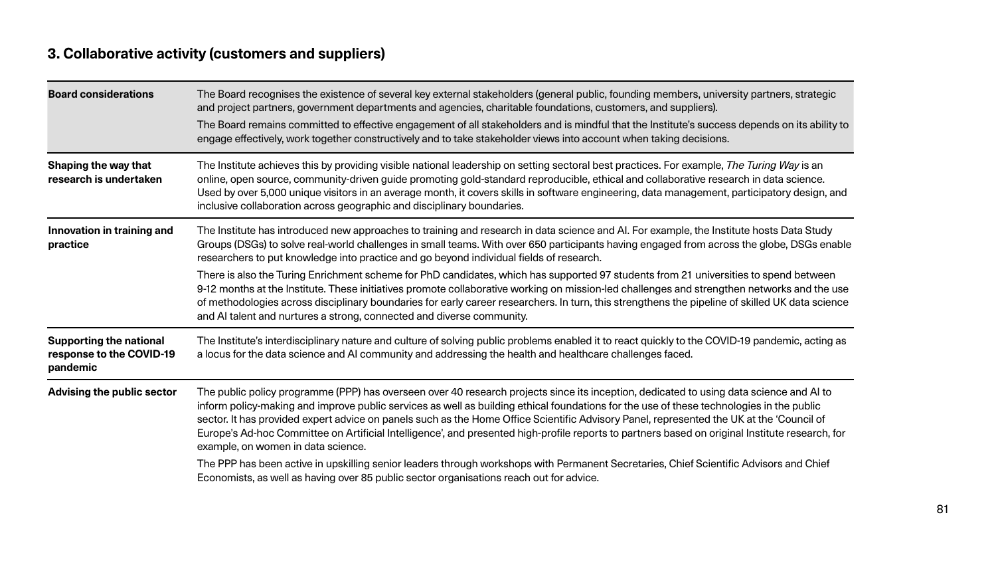# **3. Collaborative activity (customers and suppliers)**

| <b>Board considerations</b>                                            | The Board recognises the existence of several key external stakeholders (general public, `<br>and project partners, government departments and agencies, charitable foundations, cust<br>The Board remains committed to effective engagement of all stakeholders and is mindful<br>engage effectively, work together constructively and to take stakeholder views into accou                                                                                                                                                                                                                                                                          |
|------------------------------------------------------------------------|-------------------------------------------------------------------------------------------------------------------------------------------------------------------------------------------------------------------------------------------------------------------------------------------------------------------------------------------------------------------------------------------------------------------------------------------------------------------------------------------------------------------------------------------------------------------------------------------------------------------------------------------------------|
| <b>Shaping the way that</b><br>research is undertaken                  | The Institute achieves this by providing visible national leadership on setting sectoral bes<br>online, open source, community-driven guide promoting gold-standard reproducible, ethi<br>Used by over 5,000 unique visitors in an average month, it covers skills in software engine<br>inclusive collaboration across geographic and disciplinary boundaries.                                                                                                                                                                                                                                                                                       |
| Innovation in training and<br>practice                                 | The Institute has introduced new approaches to training and research in data science and<br>Groups (DSGs) to solve real-world challenges in small teams. With over 650 participants holder<br>researchers to put knowledge into practice and go beyond individual fields of research.<br>There is also the Turing Enrichment scheme for PhD candidates, which has supported 97<br>9-12 months at the Institute. These initiatives promote collaborative working on mission-le<br>of methodologies across disciplinary boundaries for early career researchers. In turn, this<br>and AI talent and nurtures a strong, connected and diverse community. |
| <b>Supporting the national</b><br>response to the COVID-19<br>pandemic | The Institute's interdisciplinary nature and culture of solving public problems enabled it to<br>a locus for the data science and AI community and addressing the health and healthcare                                                                                                                                                                                                                                                                                                                                                                                                                                                               |
| Advising the public sector                                             | The public policy programme (PPP) has overseen over 40 research projects since its ince<br>inform policy-making and improve public services as well as building ethical foundations i<br>sector. It has provided expert advice on panels such as the Home Office Scientific Adviso<br>Europe's Ad-hoc Committee on Artificial Intelligence', and presented high-profile reports<br>example, on women in data science.<br>The PPP has been active in upskilling senior leaders through workshops with Permanent<br>Economists, as well as having over 85 public sector organisations reach out for advice.                                             |

founding members, university partners, strategic atomers, and suppliers).

that the Institute's success depends on its ability to Int when taking decisions.

It practices. For example, *The Turing Way* is an ical and collaborative research in data science. eering, data management, participatory design, and

nd AI. For example, the Institute hosts Data Study having engaged from across the globe, DSGs enable

students from 21 universities to spend between ed challenges and strengthen networks and the use strengthens the pipeline of skilled UK data science

o react quickly to the COVID-19 pandemic, acting as challenges faced.

eption, dedicated to using data science and AI to for the use of these technologies in the public bry Panel, represented the UK at the 'Council of to partners based on original Institute research, for

Secretaries, Chief Scientific Advisors and Chief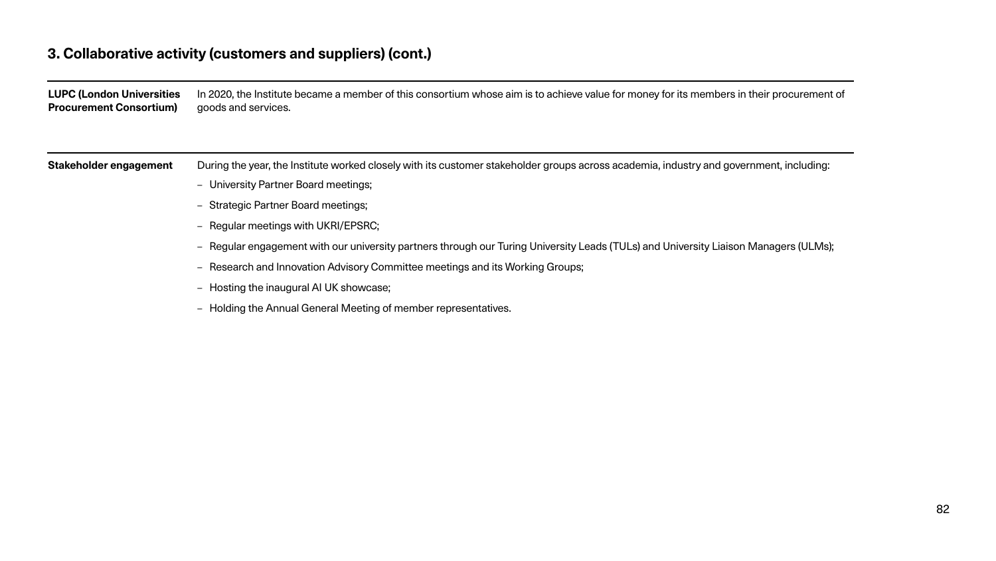# **3. Collaborative activity (customers and suppliers) (cont.)**

| <b>LUPC (London Universities</b><br><b>Procurement Consortium)</b> | In 2020, the Institute became a member of this consortium whose aim is to achieve value f<br>goods and services. |
|--------------------------------------------------------------------|------------------------------------------------------------------------------------------------------------------|
|                                                                    |                                                                                                                  |
| <b>Stakeholder engagement</b>                                      | During the year, the Institute worked closely with its customer stakeholder groups across a                      |
|                                                                    | - University Partner Board meetings;                                                                             |
|                                                                    | - Strategic Partner Board meetings;                                                                              |
|                                                                    | - Regular meetings with UKRI/EPSRC;                                                                              |
|                                                                    | - Regular engagement with our university partners through our Turing University Leads (                          |
|                                                                    | - Research and Innovation Advisory Committee meetings and its Working Groups;                                    |
|                                                                    | - Hosting the inaugural AI UK showcase;                                                                          |
|                                                                    | - Holding the Annual General Meeting of member representatives.                                                  |

for money for its members in their procurement of

academia, industry and government, including:

(TULs) and University Liaison Managers (ULMs);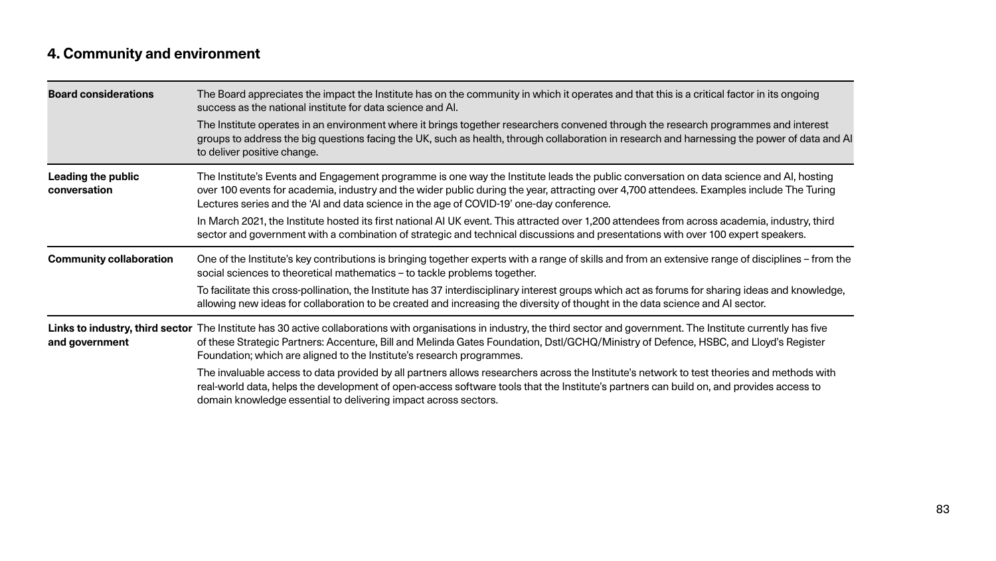# **4. Community and environment**

| <b>Board considerations</b>               | The Board appreciates the impact the Institute has on the community in which it operates<br>success as the national institute for data science and AI.<br>The Institute operates in an environment where it brings together researchers convened<br>groups to address the big questions facing the UK, such as health, through collaboration is<br>to deliver positive change.                                                                                                 |
|-------------------------------------------|--------------------------------------------------------------------------------------------------------------------------------------------------------------------------------------------------------------------------------------------------------------------------------------------------------------------------------------------------------------------------------------------------------------------------------------------------------------------------------|
| <b>Leading the public</b><br>conversation | The Institute's Events and Engagement programme is one way the Institute leads the pub<br>over 100 events for academia, industry and the wider public during the year, attracting over<br>Lectures series and the 'AI and data science in the age of COVID-19' one-day conference.<br>In March 2021, the Institute hosted its first national AI UK event. This attracted over 1,200<br>sector and government with a combination of strategic and technical discussions and pre |
| <b>Community collaboration</b>            | One of the Institute's key contributions is bringing together experts with a range of skills a<br>social sciences to theoretical mathematics – to tackle problems together.<br>To facilitate this cross-pollination, the Institute has 37 interdisciplinary interest groups whi<br>allowing new ideas for collaboration to be created and increasing the diversity of thought                                                                                                  |
| and government                            | Links to industry, third sector The Institute has 30 active collaborations with organisations in industry, the third sector a<br>of these Strategic Partners: Accenture, Bill and Melinda Gates Foundation, Dstl/GCHQ/M<br>Foundation; which are aligned to the Institute's research programmes.                                                                                                                                                                               |
|                                           | The invaluable access to data provided by all partners allows researchers across the Insti<br>real-world data, helps the development of open-access software tools that the Institute's                                                                                                                                                                                                                                                                                        |

 ${\bf s}$  and that this is a critical factor in its ongoing

through the research programmes and interest in research and harnessing the power of data and AI

blic conversation on data science and AI, hosting ver 4,700 attendees. Examples include The Turing

In attendees from across academia, industry, third esentations with over 100 expert speakers.

and from an extensive range of disciplines – from the

ich act as forums for sharing ideas and knowledge, in the data science and AI sector.

and government. The Institute currently has five Iinistry of Defence, HSBC, and Lloyd's Register

itute's network to test theories and methods with partners can build on, and provides access to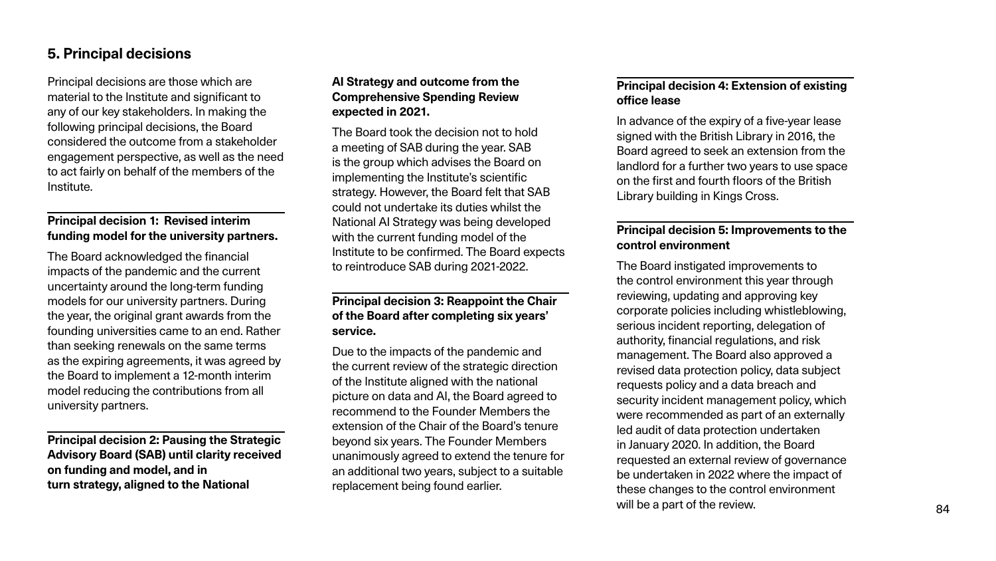Principal decisions are those which are material to the Institute and significant to any of our key stakeholders. In making the following principal decisions, the Board considered the outcome from a stakeholder engagement perspective, as well as the need to act fairly on behalf of the members of the Institute.

### **Principal decision 1: Revised interim funding model for the university partners.**

The Board acknowledged the financial impacts of the pandemic and the current uncertainty around the long-term funding models for our university partners. During the year, the original grant awards from the founding universities came to an end. Rather than seeking renewals on the same terms as the expiring agreements, it was agreed by the Board to implement a 12-month interim model reducing the contributions from all university partners.

**Principal decision 2: Pausing the Strategic Advisory Board (SAB) until clarity received on funding and model, and in turn strategy, aligned to the National** 

### **AI Strategy and outcome from the Comprehensive Spending Review expected in 2021.**

The Board took the decision not to hold a meeting of SAB during the year. SAB is the group which advises the Board on implementing the Institute's scientific strategy. However, the Board felt that SAB could not undertake its duties whilst the National AI Strategy was being developed with the current funding model of the Institute to be confirmed. The Board expects to reintroduce SAB during 2021-2022.

#### **Principal decision 3: Reappoint the Chair of the Board after completing six years' service.**

Due to the impacts of the pandemic and the current review of the strategic direction of the Institute aligned with the national picture on data and AI, the Board agreed to recommend to the Founder Members the extension of the Chair of the Board's tenure beyond six years. The Founder Members unanimously agreed to extend the tenure for an additional two years, subject to a suitable replacement being found earlier.

#### **Principal decision 4: Extension of existing office lease**

In advance of the expiry of a five-year lease signed with the British Library in 2016, the Board agreed to seek an extension from the landlord for a further two years to use space on the first and fourth floors of the British Library building in Kings Cross.

### **Principal decision 5: Improvements to the control environment**

The Board instigated improvements to the control environment this year through reviewing, updating and approving key corporate policies including whistleblowing, serious incident reporting, delegation of authority, financial regulations, and risk management. The Board also approved a revised data protection policy, data subject requests policy and a data breach and security incident management policy, which were recommended as part of an externally led audit of data protection undertaken in January 2020. In addition, the Board requested an external review of governance be undertaken in 2022 where the impact of these changes to the control environment will be a part of the review.

# **5. Principal decisions**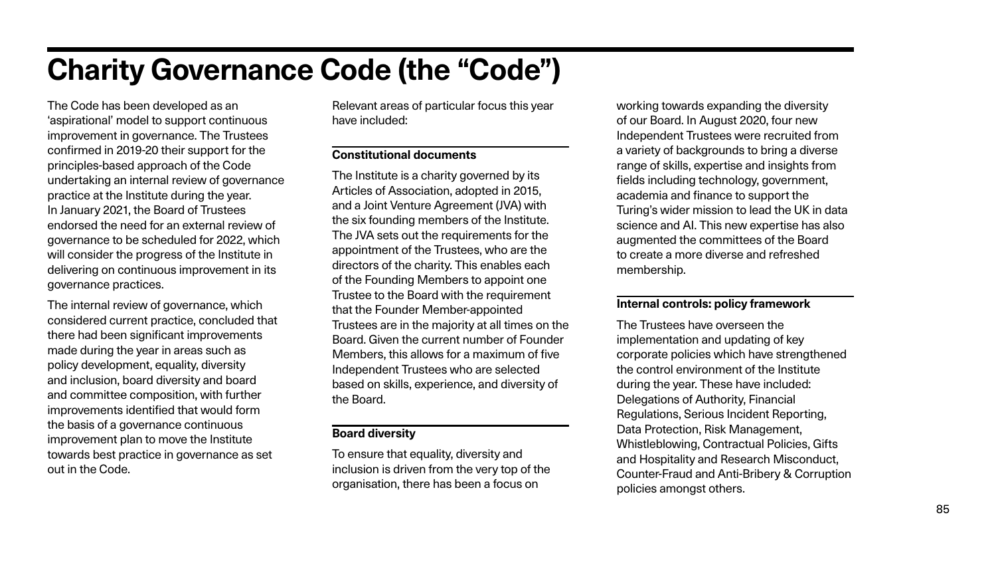# **Charity Governance Code (the "Code")**

The Code has been developed as an 'aspirational' model to support continuous improvement in governance. The Trustees confirmed in 2019-20 their support for the principles-based approach of the Code undertaking an internal review of governance practice at the Institute during the year. In January 2021, the Board of Trustees endorsed the need for an external review of governance to be scheduled for 2022, which will consider the progress of the Institute in delivering on continuous improvement in its governance practices.

The internal review of governance, which considered current practice, concluded that there had been significant improvements made during the year in areas such as policy development, equality, diversity and inclusion, board diversity and board and committee composition, with further improvements identified that would form the basis of a governance continuous improvement plan to move the Institute towards best practice in governance as set out in the Code.

Relevant areas of particular focus this year have included:

#### **Constitutional documents**

The Institute is a charity governed by its Articles of Association, adopted in 2015, and a Joint Venture Agreement (JVA) with the six founding members of the Institute. The JVA sets out the requirements for the appointment of the Trustees, who are the directors of the charity. This enables each of the Founding Members to appoint one Trustee to the Board with the requirement that the Founder Member-appointed Trustees are in the majority at all times on the Board. Given the current number of Founder Members, this allows for a maximum of five Independent Trustees who are selected based on skills, experience, and diversity of the Board.

#### **Board diversity**

To ensure that equality, diversity and inclusion is driven from the very top of the organisation, there has been a focus on

working towards expanding the diversity of our Board. In August 2020, four new Independent Trustees were recruited from a variety of backgrounds to bring a diverse range of skills, expertise and insights from fields including technology, government, academia and finance to support the Turing's wider mission to lead the UK in data science and AI. This new expertise has also augmented the committees of the Board to create a more diverse and refreshed membership.

#### **Internal controls: policy framework**

The Trustees have overseen the implementation and updating of key corporate policies which have strengthened the control environment of the Institute during the year. These have included: Delegations of Authority, Financial Regulations, Serious Incident Reporting, Data Protection, Risk Management, Whistleblowing, Contractual Policies, Gifts and Hospitality and Research Misconduct, Counter-Fraud and Anti-Bribery & Corruption policies amongst others.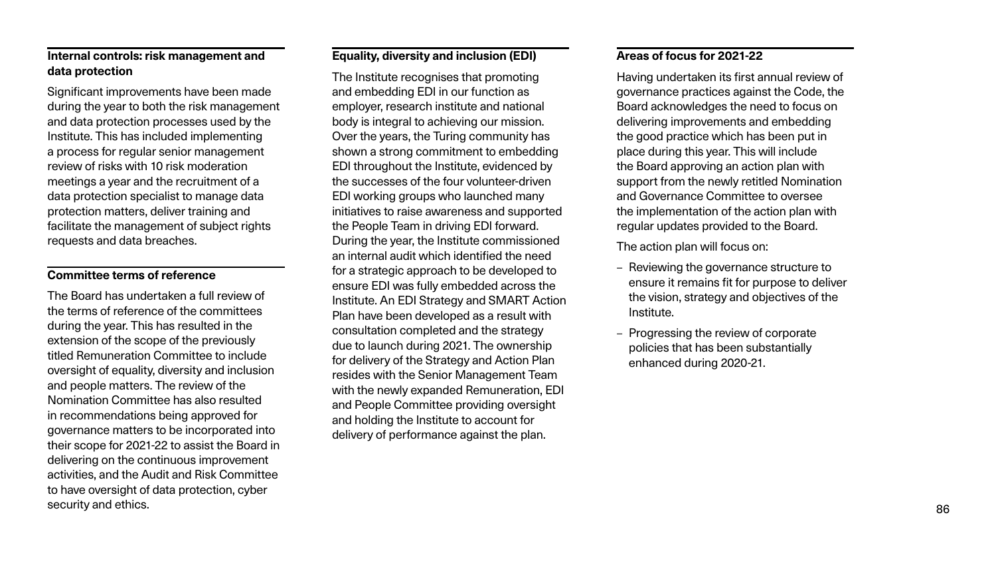### **Internal controls: risk management and data protection**

Significant improvements have been made during the year to both the risk management and data protection processes used by the Institute. This has included implementing a process for regular senior management review of risks with 10 risk moderation meetings a year and the recruitment of a data protection specialist to manage data protection matters, deliver training and facilitate the management of subject rights requests and data breaches.

#### **Committee terms of reference**

The Board has undertaken a full review of the terms of reference of the committees during the year. This has resulted in the extension of the scope of the previously titled Remuneration Committee to include oversight of equality, diversity and inclusion and people matters. The review of the Nomination Committee has also resulted in recommendations being approved for governance matters to be incorporated into their scope for 2021-22 to assist the Board in delivering on the continuous improvement activities, and the Audit and Risk Committee to have oversight of data protection, cyber security and ethics.

#### **Equality, diversity and inclusion (EDI)**

The Institute recognises that promoting and embedding EDI in our function as employer, research institute and national body is integral to achieving our mission. Over the years, the Turing community has shown a strong commitment to embedding EDI throughout the Institute, evidenced by the successes of the four volunteer-driven EDI working groups who launched many initiatives to raise awareness and supported the People Team in driving EDI forward. During the year, the Institute commissioned an internal audit which identified the need for a strategic approach to be developed to ensure EDI was fully embedded across the Institute. An EDI Strategy and SMART Action Plan have been developed as a result with consultation completed and the strategy due to launch during 2021. The ownership for delivery of the Strategy and Action Plan resides with the Senior Management Team with the newly expanded Remuneration, EDI and People Committee providing oversight and holding the Institute to account for delivery of performance against the plan.

### **Areas of focus for 2021-22**

Having undertaken its first annual review of governance practices against the Code, the Board acknowledges the need to focus on delivering improvements and embedding the good practice which has been put in place during this year. This will include the Board approving an action plan with support from the newly retitled Nomination and Governance Committee to oversee the implementation of the action plan with regular updates provided to the Board.

The action plan will focus on:

- Reviewing the governance structure to ensure it remains fit for purpose to deliver the vision, strategy and objectives of the Institute.
- Progressing the review of corporate policies that has been substantially enhanced during 2020-21.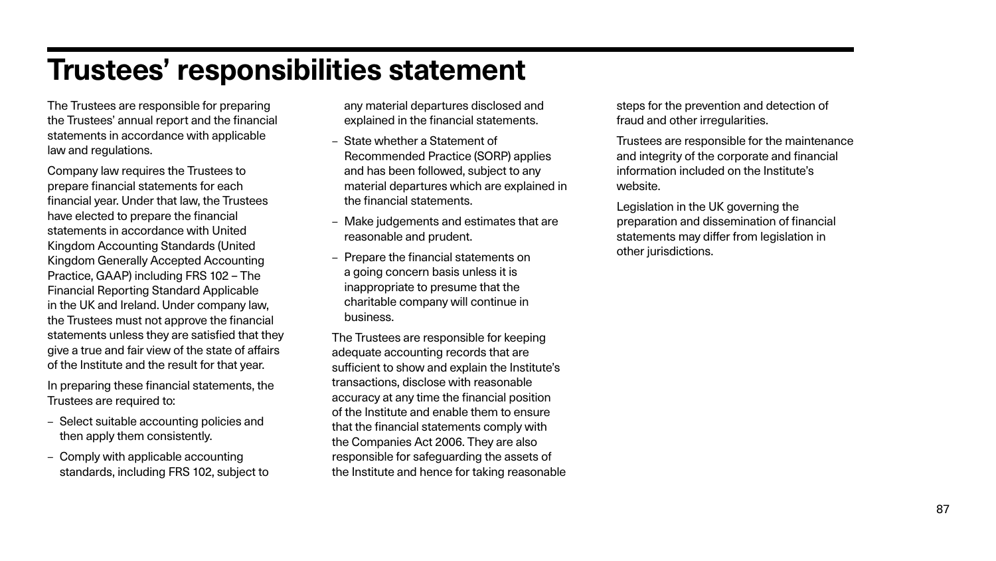# **Trustees' responsibilities statement**

The Trustees are responsible for preparing the Trustees' annual report and the financial statements in accordance with applicable law and regulations.

Company law requires the Trustees to prepare financial statements for each financial year. Under that law, the Trustees have elected to prepare the financial statements in accordance with United Kingdom Accounting Standards (United Kingdom Generally Accepted Accounting Practice, GAAP) including FRS 102 – The Financial Reporting Standard Applicable in the UK and Ireland. Under company law, the Trustees must not approve the financial statements unless they are satisfied that they give a true and fair view of the state of affairs of the Institute and the result for that year.

In preparing these financial statements, the Trustees are required to:

- Select suitable accounting policies and then apply them consistently.
- Comply with applicable accounting standards, including FRS 102, subject to

any material departures disclosed and explained in the financial statements.

- State whether a Statement of Recommended Practice (SORP) applies and has been followed, subject to any material departures which are explained in the financial statements.
- Make judgements and estimates that are reasonable and prudent.
- Prepare the financial statements on a going concern basis unless it is inappropriate to presume that the charitable company will continue in business.

The Trustees are responsible for keeping adequate accounting records that are sufficient to show and explain the Institute's transactions, disclose with reasonable accuracy at any time the financial position of the Institute and enable them to ensure that the financial statements comply with the Companies Act 2006. They are also responsible for safeguarding the assets of the Institute and hence for taking reasonable steps for the prevention and detection of fraud and other irregularities.

Trustees are responsible for the maintenance and integrity of the corporate and financial information included on the Institute's website.

Legislation in the UK governing the preparation and dissemination of financial statements may differ from legislation in other jurisdictions.